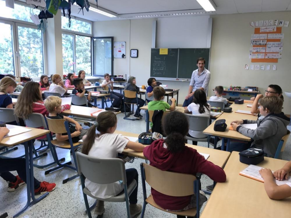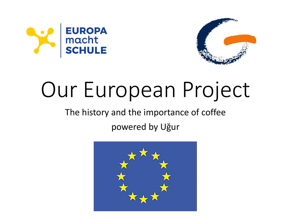



#### Our European Project

#### The history and the importance of coffee

powered by Uğur

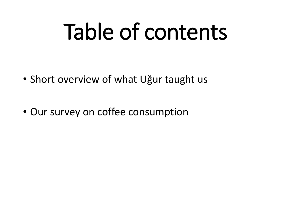## Table of contents

- Short overview of what Uğur taught us
- Our survey on coffee consumption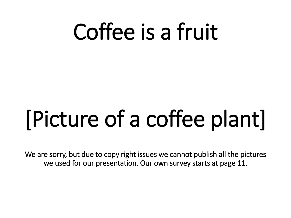## Coffee is a fruit

## [Picture of a coffee plant]

We are sorry, but due to copy right issues we cannot publish all the pictures we used for our presentation. Our own survey starts at page 11.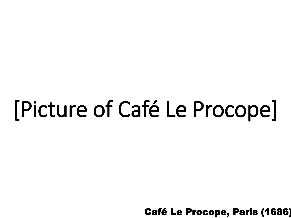# [Picture of Café Le Procope]

Café Le Procope, Paris (1686)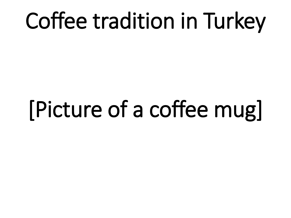## Coffee tradition in Turkey

# [Picture of a coffee mug]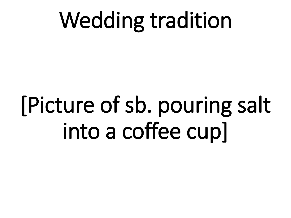## Wedding tradition

# [Picture of sb. pouring salt into a coffee cup]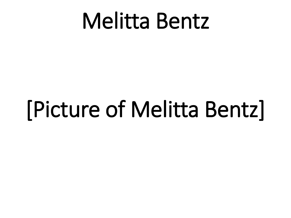#### Melitta Bentz

# [Picture of Melitta Bentz]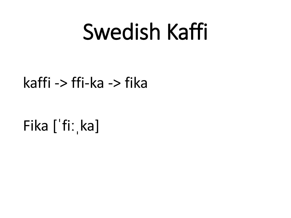### Swedish Kaffi

#### kaffi -> ffi-ka -> fika

Fika ['fiːˌka]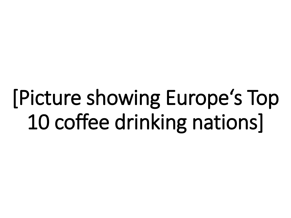### [Picture showing Europe's Top 10 coffee drinking nations]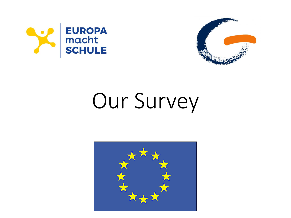



## Our Survey

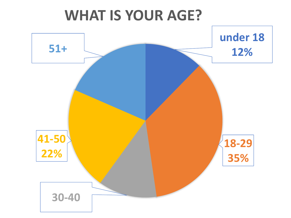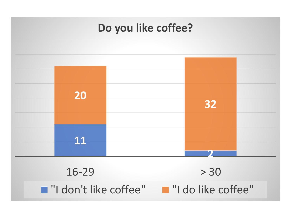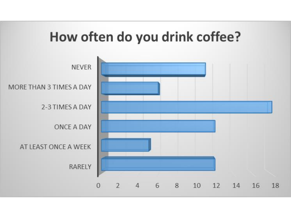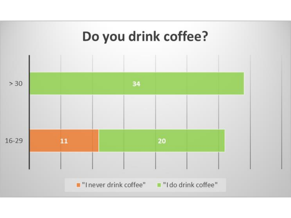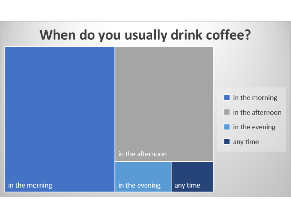#### When do you usually drink coffee?

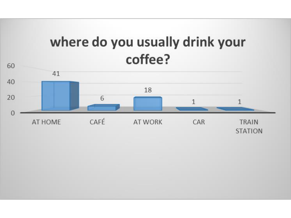#### where do you usually drink your coffee?

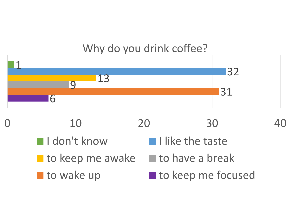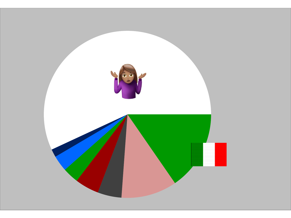